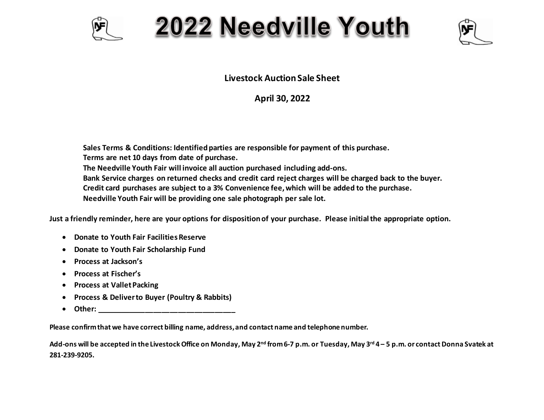

## 2022 Needville Youth



**Livestock Auction Sale Sheet**

**April 30, 2022**

**Sales Terms & Conditions: Identified parties are responsible for payment of this purchase. Terms are net 10 days from date of purchase. The Needville Youth Fair will invoice all auction purchased including add-ons. Bank Service charges on returned checks and credit card reject charges will be charged back to the buyer. Credit card purchases are subject to a 3% Convenience fee, which will be added to the purchase. Needville Youth Fair will be providing one sale photograph per sale lot.**

**Just a friendly reminder, here are your options for disposition of your purchase. Please initial the appropriate option.** 

- **Donate to Youth Fair Facilities Reserve**
- **Donate to Youth Fair Scholarship Fund**
- **Process at Jackson's**
- **Process at Fischer's**
- **•** Process at Vallet Packing
- **Process & Deliver to Buyer (Poultry & Rabbits)**
- $\bullet$  Other:  $\bullet$  Other:  $\bullet$  Other:  $\bullet$  Other:  $\bullet$  Other:  $\bullet$  Other:  $\bullet$  Other:  $\bullet$  Other:  $\bullet$  Other:  $\bullet$  Other:  $\bullet$  Other:  $\bullet$  Other:  $\bullet$  Other:  $\bullet$  Other:  $\bullet$  Other:  $\bullet$  Other:  $\bullet$  Other:  $\bullet$  Other:  $\bullet$

**Please confirm that we have correct billing name, address, and contact name and telephone number.**

**Add-ons will be accepted in the Livestock Office on Monday, May 2nd from 6-7 p.m. or Tuesday, May 3rd 4 – 5 p.m. or contact Donna Svatek at 281-239-9205.**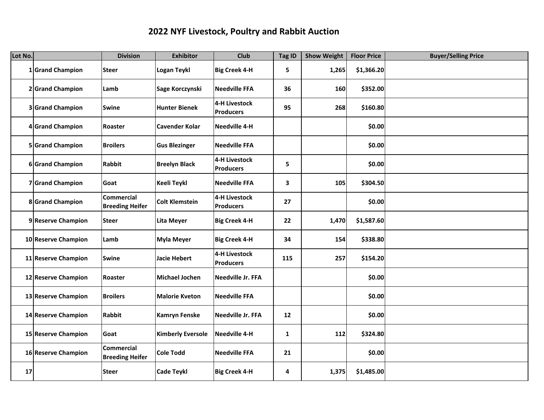## **2022 NYF Livestock, Poultry and Rabbit Auction**

| Lot No. |                     | <b>Division</b>                             | <b>Exhibitor</b>         | Club                                     | Tag ID       | <b>Show Weight</b> | <b>Floor Price</b> | <b>Buyer/Selling Price</b> |
|---------|---------------------|---------------------------------------------|--------------------------|------------------------------------------|--------------|--------------------|--------------------|----------------------------|
|         | 1 Grand Champion    | <b>Steer</b>                                | Logan Teykl              | <b>Big Creek 4-H</b>                     | 5            | 1,265              | \$1,366.20         |                            |
|         | 2 Grand Champion    | Lamb                                        | Sage Korczynski          | <b>Needville FFA</b>                     | 36           | 160                | \$352.00           |                            |
|         | 3 Grand Champion    | <b>Swine</b>                                | <b>Hunter Bienek</b>     | 4-H Livestock<br>Producers               | 95           | 268                | \$160.80           |                            |
|         | 4 Grand Champion    | Roaster                                     | <b>Cavender Kolar</b>    | <b>Needville 4-H</b>                     |              |                    | \$0.00             |                            |
|         | 5 Grand Champion    | <b>Broilers</b>                             | <b>Gus Blezinger</b>     | <b>Needville FFA</b>                     |              |                    | \$0.00             |                            |
|         | 6 Grand Champion    | <b>Rabbit</b>                               | <b>Breelyn Black</b>     | <b>4-H Livestock</b><br><b>Producers</b> | 5            |                    | \$0.00             |                            |
|         | 7 Grand Champion    | Goat                                        | Keeli Teykl              | <b>Needville FFA</b>                     | 3            | 105                | \$304.50           |                            |
|         | 8 Grand Champion    | <b>Commercial</b><br><b>Breeding Heifer</b> | <b>Colt Klemstein</b>    | <b>4-H Livestock</b><br><b>Producers</b> | 27           |                    | \$0.00             |                            |
|         | 9 Reserve Champion  | <b>Steer</b>                                | Lita Meyer               | <b>Big Creek 4-H</b>                     | 22           | 1,470              | \$1,587.60         |                            |
|         | 10 Reserve Champion | Lamb                                        | <b>Myla Meyer</b>        | <b>Big Creek 4-H</b>                     | 34           | 154                | \$338.80           |                            |
|         | 11 Reserve Champion | <b>Swine</b>                                | Jacie Hebert             | <b>4-H Livestock</b><br><b>Producers</b> | 115          | 257                | \$154.20           |                            |
|         | 12 Reserve Champion | Roaster                                     | Michael Jochen           | <b>Needville Jr. FFA</b>                 |              |                    | \$0.00             |                            |
|         | 13 Reserve Champion | <b>Broilers</b>                             | <b>Malorie Kveton</b>    | <b>Needville FFA</b>                     |              |                    | \$0.00             |                            |
|         | 14 Reserve Champion | <b>Rabbit</b>                               | <b>Kamryn Fenske</b>     | <b>Needville Jr. FFA</b>                 | 12           |                    | \$0.00             |                            |
|         | 15 Reserve Champion | Goat                                        | <b>Kimberly Eversole</b> | <b>Needville 4-H</b>                     | $\mathbf{1}$ | 112                | \$324.80           |                            |
|         | 16 Reserve Champion | <b>Commercial</b><br><b>Breeding Heifer</b> | <b>Cole Todd</b>         | <b>Needville FFA</b>                     | 21           |                    | \$0.00             |                            |
| 17      |                     | <b>Steer</b>                                | <b>Cade Teykl</b>        | <b>Big Creek 4-H</b>                     | 4            | 1,375              | \$1,485.00         |                            |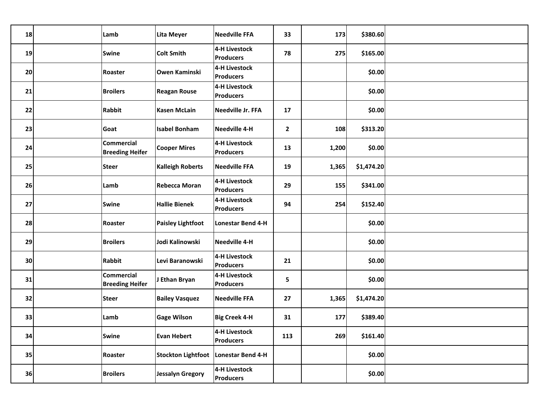| 18 | Lamb                                 | <b>Lita Meyer</b>         | <b>Needville FFA</b>                     | 33           | 173   | \$380.60   |  |
|----|--------------------------------------|---------------------------|------------------------------------------|--------------|-------|------------|--|
| 19 | <b>Swine</b>                         | <b>Colt Smith</b>         | 4-H Livestock<br><b>Producers</b>        | 78           | 275   | \$165.00   |  |
| 20 | Roaster                              | <b>Owen Kaminski</b>      | 4-H Livestock<br><b>Producers</b>        |              |       | \$0.00     |  |
| 21 | <b>Broilers</b>                      | <b>Reagan Rouse</b>       | 4-H Livestock<br><b>Producers</b>        |              |       | \$0.00     |  |
| 22 | <b>Rabbit</b>                        | <b>Kasen McLain</b>       | Needville Jr. FFA                        | 17           |       | \$0.00     |  |
| 23 | Goat                                 | <b>Isabel Bonham</b>      | Needville 4-H                            | $\mathbf{2}$ | 108   | \$313.20   |  |
| 24 | Commercial<br><b>Breeding Heifer</b> | <b>Cooper Mires</b>       | 4-H Livestock<br><b>Producers</b>        | 13           | 1,200 | \$0.00     |  |
| 25 | <b>Steer</b>                         | <b>Kalleigh Roberts</b>   | <b>Needville FFA</b>                     | 19           | 1,365 | \$1,474.20 |  |
| 26 | Lamb                                 | <b>Rebecca Moran</b>      | 4-H Livestock<br><b>Producers</b>        | 29           | 155   | \$341.00   |  |
| 27 | <b>Swine</b>                         | <b>Hallie Bienek</b>      | 4-H Livestock<br><b>Producers</b>        | 94           | 254   | \$152.40   |  |
| 28 | Roaster                              | <b>Paisley Lightfoot</b>  | Lonestar Bend 4-H                        |              |       | \$0.00     |  |
| 29 | <b>Broilers</b>                      | Jodi Kalinowski           | Needville 4-H                            |              |       | \$0.00     |  |
| 30 | <b>Rabbit</b>                        | Levi Baranowski           | 4-H Livestock<br>Producers               | 21           |       | \$0.00     |  |
| 31 | Commercial<br><b>Breeding Heifer</b> | J Ethan Bryan             | 4-H Livestock<br><b>Producers</b>        | 5            |       | \$0.00     |  |
| 32 | <b>Steer</b>                         | <b>Bailey Vasquez</b>     | <b>Needville FFA</b>                     | 27           | 1,365 | \$1,474.20 |  |
| 33 | Lamb                                 | <b>Gage Wilson</b>        | <b>Big Creek 4-H</b>                     | 31           | 177   | \$389.40   |  |
| 34 | <b>Swine</b>                         | <b>Evan Hebert</b>        | <b>4-H Livestock</b><br><b>Producers</b> | 113          | 269   | \$161.40   |  |
| 35 | Roaster                              | <b>Stockton Lightfoot</b> | Lonestar Bend 4-H                        |              |       | \$0.00     |  |
| 36 | <b>Broilers</b>                      | Jessalyn Gregory          | 4-H Livestock<br>Producers               |              |       | \$0.00     |  |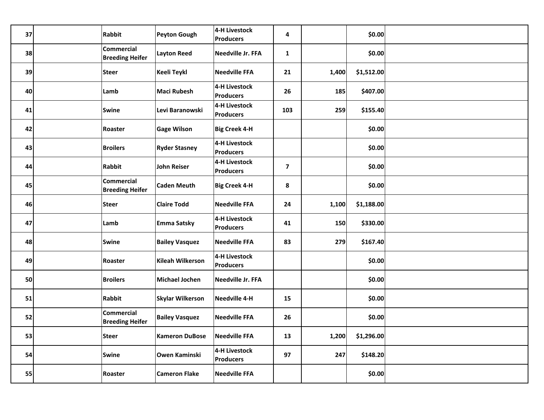| 37 | Rabbit                                      | Peyton Gough            | 4-H Livestock<br><b>Producers</b> | 4                       |       | \$0.00     |  |
|----|---------------------------------------------|-------------------------|-----------------------------------|-------------------------|-------|------------|--|
| 38 | <b>Commercial</b><br><b>Breeding Heifer</b> | <b>Layton Reed</b>      | Needville Jr. FFA                 | $\mathbf{1}$            |       | \$0.00     |  |
| 39 | <b>Steer</b>                                | Keeli Teykl             | <b>Needville FFA</b>              | 21                      | 1,400 | \$1,512.00 |  |
| 40 | Lamb                                        | <b>Maci Rubesh</b>      | 4-H Livestock<br><b>Producers</b> | 26                      | 185   | \$407.00   |  |
| 41 | <b>Swine</b>                                | Levi Baranowski         | 4-H Livestock<br><b>Producers</b> | 103                     | 259   | \$155.40   |  |
| 42 | Roaster                                     | <b>Gage Wilson</b>      | <b>Big Creek 4-H</b>              |                         |       | \$0.00     |  |
| 43 | <b>Broilers</b>                             | <b>Ryder Stasney</b>    | 4-H Livestock<br><b>Producers</b> |                         |       | \$0.00     |  |
| 44 | Rabbit                                      | <b>John Reiser</b>      | 4-H Livestock<br><b>Producers</b> | $\overline{\mathbf{z}}$ |       | \$0.00     |  |
| 45 | <b>Commercial</b><br><b>Breeding Heifer</b> | <b>Caden Meuth</b>      | <b>Big Creek 4-H</b>              | 8                       |       | \$0.00     |  |
| 46 | <b>Steer</b>                                | <b>Claire Todd</b>      | <b>Needville FFA</b>              | 24                      | 1,100 | \$1,188.00 |  |
| 47 | Lamb                                        | <b>Emma Satsky</b>      | 4-H Livestock<br><b>Producers</b> | 41                      | 150   | \$330.00   |  |
| 48 | <b>Swine</b>                                | <b>Bailey Vasquez</b>   | <b>Needville FFA</b>              | 83                      | 279   | \$167.40   |  |
| 49 | Roaster                                     | Kileah Wilkerson        | 4-H Livestock<br><b>Producers</b> |                         |       | \$0.00     |  |
| 50 | <b>Broilers</b>                             | Michael Jochen          | Needville Jr. FFA                 |                         |       | \$0.00     |  |
| 51 | Rabbit                                      | <b>Skylar Wilkerson</b> | Needville 4-H                     | 15                      |       | \$0.00     |  |
| 52 | Commercial<br><b>Breeding Heifer</b>        | <b>Bailey Vasquez</b>   | <b>Needville FFA</b>              | 26                      |       | \$0.00     |  |
| 53 | <b>Steer</b>                                | <b>Kameron DuBose</b>   | <b>Needville FFA</b>              | 13                      | 1,200 | \$1,296.00 |  |
| 54 | <b>Swine</b>                                | Owen Kaminski           | 4-H Livestock<br><b>Producers</b> | 97                      | 247   | \$148.20   |  |
| 55 | Roaster                                     | <b>Cameron Flake</b>    | <b>Needville FFA</b>              |                         |       | \$0.00     |  |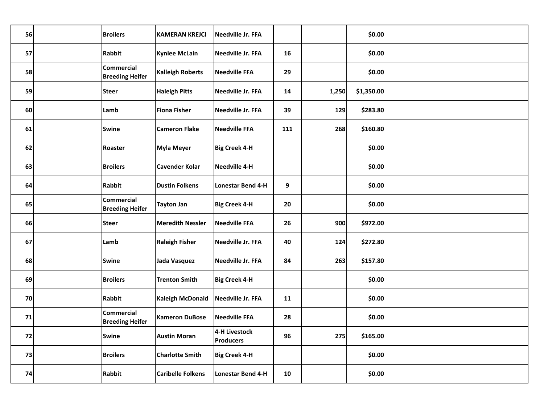| 56 | <b>Broilers</b>                             | <b>KAMERAN KREJCI</b>    | Needville Jr. FFA                 |     |       | \$0.00     |  |
|----|---------------------------------------------|--------------------------|-----------------------------------|-----|-------|------------|--|
| 57 | Rabbit                                      | <b>Kynlee McLain</b>     | Needville Jr. FFA                 | 16  |       | \$0.00     |  |
| 58 | <b>Commercial</b><br><b>Breeding Heifer</b> | <b>Kalleigh Roberts</b>  | <b>Needville FFA</b>              | 29  |       | \$0.00     |  |
| 59 | <b>Steer</b>                                | <b>Haleigh Pitts</b>     | Needville Jr. FFA                 | 14  | 1,250 | \$1,350.00 |  |
| 60 | Lamb                                        | <b>Fiona Fisher</b>      | Needville Jr. FFA                 | 39  | 129   | \$283.80   |  |
| 61 | <b>Swine</b>                                | <b>Cameron Flake</b>     | <b>Needville FFA</b>              | 111 | 268   | \$160.80   |  |
| 62 | Roaster                                     | <b>Myla Meyer</b>        | <b>Big Creek 4-H</b>              |     |       | \$0.00     |  |
| 63 | <b>Broilers</b>                             | <b>Cavender Kolar</b>    | Needville 4-H                     |     |       | \$0.00     |  |
| 64 | Rabbit                                      | <b>Dustin Folkens</b>    | Lonestar Bend 4-H                 | 9   |       | \$0.00     |  |
| 65 | <b>Commercial</b><br><b>Breeding Heifer</b> | <b>Tayton Jan</b>        | <b>Big Creek 4-H</b>              | 20  |       | \$0.00     |  |
| 66 | <b>Steer</b>                                | <b>Meredith Nessler</b>  | <b>Needville FFA</b>              | 26  | 900   | \$972.00   |  |
| 67 | Lamb                                        | <b>Raleigh Fisher</b>    | Needville Jr. FFA                 | 40  | 124   | \$272.80   |  |
| 68 | <b>Swine</b>                                | Jada Vasquez             | Needville Jr. FFA                 | 84  | 263   | \$157.80   |  |
| 69 | <b>Broilers</b>                             | <b>Trenton Smith</b>     | <b>Big Creek 4-H</b>              |     |       | \$0.00     |  |
| 70 | Rabbit                                      | <b>Kaleigh McDonald</b>  | Needville Jr. FFA                 | 11  |       | \$0.00     |  |
| 71 | <b>Commercial</b><br><b>Breeding Heifer</b> | <b>Kameron DuBose</b>    | <b>Needville FFA</b>              | 28  |       | \$0.00     |  |
| 72 | <b>Swine</b>                                | <b>Austin Moran</b>      | 4-H Livestock<br><b>Producers</b> | 96  | 275   | \$165.00   |  |
| 73 | <b>Broilers</b>                             | <b>Charlotte Smith</b>   | <b>Big Creek 4-H</b>              |     |       | \$0.00     |  |
| 74 | <b>Rabbit</b>                               | <b>Caribelle Folkens</b> | Lonestar Bend 4-H                 | 10  |       | \$0.00     |  |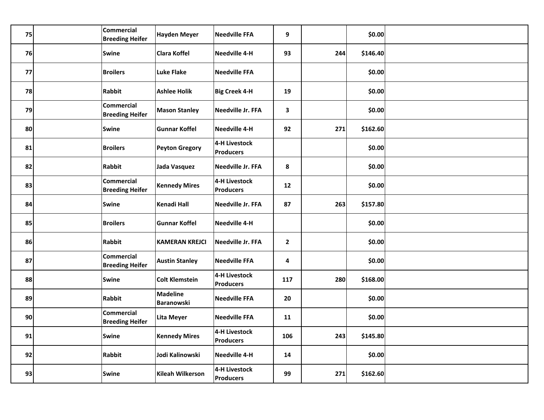| 75 | Commercial<br><b>Breeding Heifer</b>        | Hayden Meyer           | <b>Needville FFA</b>              | 9            |     | \$0.00   |  |
|----|---------------------------------------------|------------------------|-----------------------------------|--------------|-----|----------|--|
| 76 | <b>Swine</b>                                | <b>Clara Koffel</b>    | Needville 4-H                     | 93           | 244 | \$146.40 |  |
| 77 | <b>Broilers</b>                             | Luke Flake             | <b>Needville FFA</b>              |              |     | \$0.00   |  |
| 78 | Rabbit                                      | <b>Ashlee Holik</b>    | <b>Big Creek 4-H</b>              | 19           |     | \$0.00   |  |
| 79 | <b>Commercial</b><br><b>Breeding Heifer</b> | <b>Mason Stanley</b>   | Needville Jr. FFA                 | $\mathbf{3}$ |     | \$0.00   |  |
| 80 | <b>Swine</b>                                | <b>Gunnar Koffel</b>   | Needville 4-H                     | 92           | 271 | \$162.60 |  |
| 81 | <b>Broilers</b>                             | <b>Peyton Gregory</b>  | 4-H Livestock<br>Producers        |              |     | \$0.00   |  |
| 82 | Rabbit                                      | Jada Vasquez           | Needville Jr. FFA                 | 8            |     | \$0.00   |  |
| 83 | Commercial<br><b>Breeding Heifer</b>        | <b>Kennedy Mires</b>   | 4-H Livestock<br>Producers        | 12           |     | \$0.00   |  |
| 84 | <b>Swine</b>                                | Kenadi Hall            | Needville Jr. FFA                 | 87           | 263 | \$157.80 |  |
| 85 | <b>Broilers</b>                             | <b>Gunnar Koffel</b>   | Needville 4-H                     |              |     | \$0.00   |  |
| 86 | Rabbit                                      | <b>KAMERAN KREJCI</b>  | <b>Needville Jr. FFA</b>          | $\mathbf{2}$ |     | \$0.00   |  |
| 87 | <b>Commercial</b><br><b>Breeding Heifer</b> | <b>Austin Stanley</b>  | <b>Needville FFA</b>              | 4            |     | \$0.00   |  |
| 88 | <b>Swine</b>                                | <b>Colt Klemstein</b>  | 4-H Livestock<br><b>Producers</b> | 117          | 280 | \$168.00 |  |
| 89 | Rabbit                                      | Madeline<br>Baranowski | <b>Needville FFA</b>              | 20           |     | \$0.00   |  |
| 90 | Commercial<br><b>Breeding Heifer</b>        | Lita Meyer             | <b>Needville FFA</b>              | 11           |     | \$0.00   |  |
| 91 | <b>Swine</b>                                | <b>Kennedy Mires</b>   | 4-H Livestock<br><b>Producers</b> | 106          | 243 | \$145.80 |  |
| 92 | <b>Rabbit</b>                               | Jodi Kalinowski        | Needville 4-H                     | 14           |     | \$0.00   |  |
| 93 | <b>Swine</b>                                | Kileah Wilkerson       | 4-H Livestock<br><b>Producers</b> | 99           | 271 | \$162.60 |  |